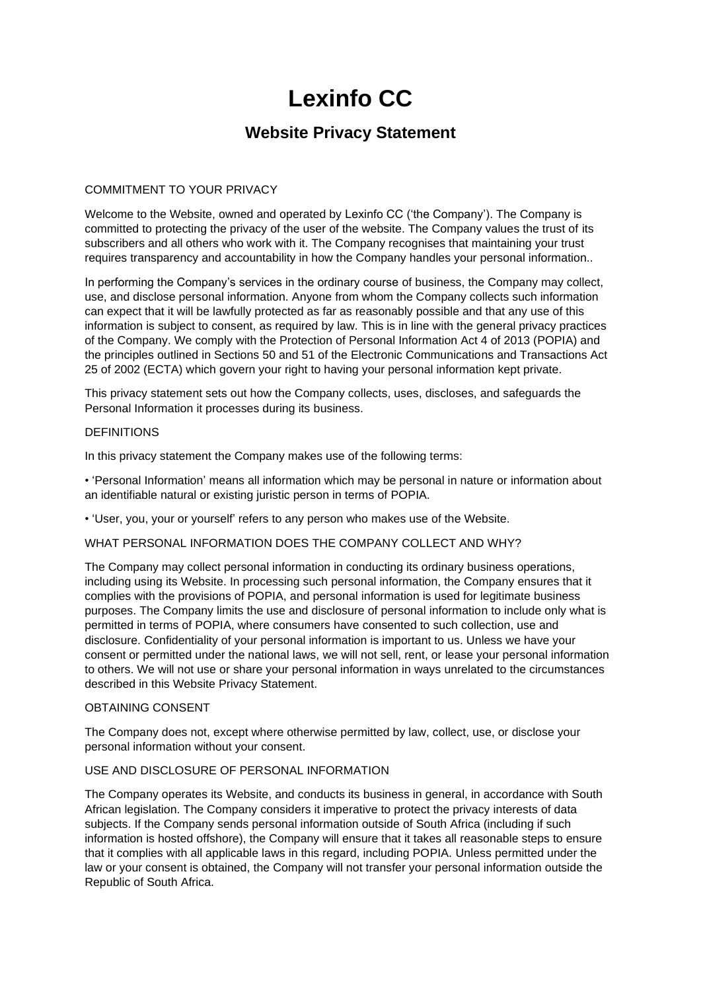# **Lexinfo CC**

# **Website Privacy Statement**

# COMMITMENT TO YOUR PRIVACY

Welcome to the Website, owned and operated by Lexinfo CC ('the Company'). The Company is committed to protecting the privacy of the user of the website. The Company values the trust of its subscribers and all others who work with it. The Company recognises that maintaining your trust requires transparency and accountability in how the Company handles your personal information..

In performing the Company's services in the ordinary course of business, the Company may collect, use, and disclose personal information. Anyone from whom the Company collects such information can expect that it will be lawfully protected as far as reasonably possible and that any use of this information is subject to consent, as required by law. This is in line with the general privacy practices of the Company. We comply with the Protection of Personal Information Act 4 of 2013 (POPIA) and the principles outlined in Sections 50 and 51 of the Electronic Communications and Transactions Act 25 of 2002 (ECTA) which govern your right to having your personal information kept private.

This privacy statement sets out how the Company collects, uses, discloses, and safeguards the Personal Information it processes during its business.

#### DEFINITIONS

In this privacy statement the Company makes use of the following terms:

• 'Personal Information' means all information which may be personal in nature or information about an identifiable natural or existing juristic person in terms of POPIA.

• 'User, you, your or yourself' refers to any person who makes use of the Website.

#### WHAT PERSONAL INFORMATION DOES THE COMPANY COLLECT AND WHY?

The Company may collect personal information in conducting its ordinary business operations, including using its Website. In processing such personal information, the Company ensures that it complies with the provisions of POPIA, and personal information is used for legitimate business purposes. The Company limits the use and disclosure of personal information to include only what is permitted in terms of POPIA, where consumers have consented to such collection, use and disclosure. Confidentiality of your personal information is important to us. Unless we have your consent or permitted under the national laws, we will not sell, rent, or lease your personal information to others. We will not use or share your personal information in ways unrelated to the circumstances described in this Website Privacy Statement.

# OBTAINING CONSENT

The Company does not, except where otherwise permitted by law, collect, use, or disclose your personal information without your consent.

# USE AND DISCLOSURE OF PERSONAL INFORMATION

The Company operates its Website, and conducts its business in general, in accordance with South African legislation. The Company considers it imperative to protect the privacy interests of data subjects. If the Company sends personal information outside of South Africa (including if such information is hosted offshore), the Company will ensure that it takes all reasonable steps to ensure that it complies with all applicable laws in this regard, including POPIA. Unless permitted under the law or your consent is obtained, the Company will not transfer your personal information outside the Republic of South Africa.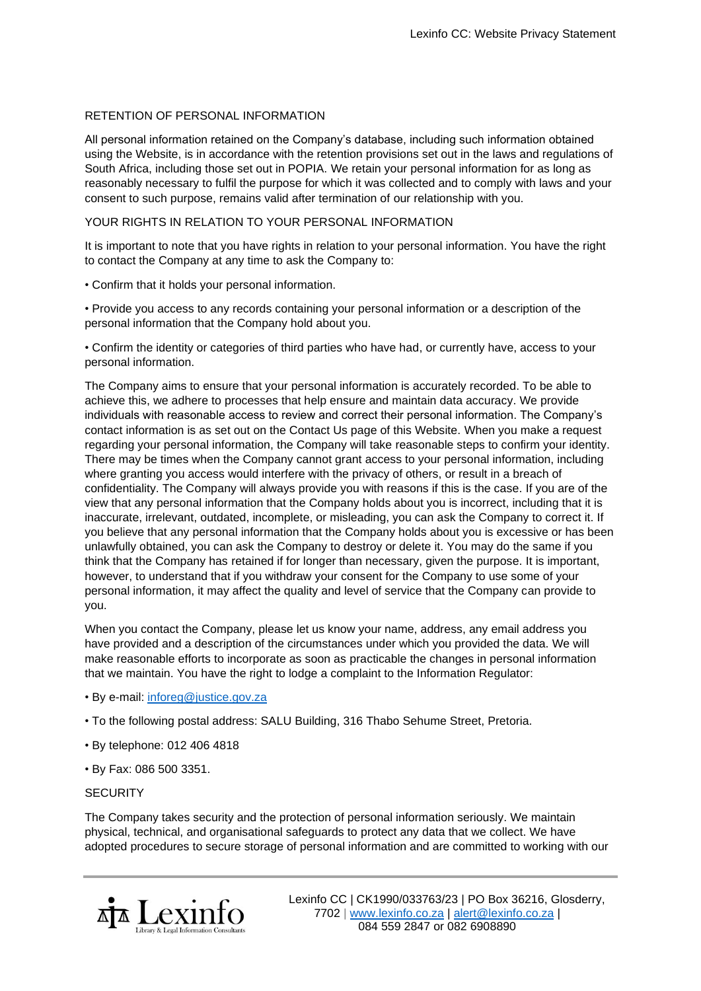### RETENTION OF PERSONAL INFORMATION

All personal information retained on the Company's database, including such information obtained using the Website, is in accordance with the retention provisions set out in the laws and regulations of South Africa, including those set out in POPIA. We retain your personal information for as long as reasonably necessary to fulfil the purpose for which it was collected and to comply with laws and your consent to such purpose, remains valid after termination of our relationship with you.

#### YOUR RIGHTS IN RELATION TO YOUR PERSONAL INFORMATION

It is important to note that you have rights in relation to your personal information. You have the right to contact the Company at any time to ask the Company to:

• Confirm that it holds your personal information.

• Provide you access to any records containing your personal information or a description of the personal information that the Company hold about you.

• Confirm the identity or categories of third parties who have had, or currently have, access to your personal information.

The Company aims to ensure that your personal information is accurately recorded. To be able to achieve this, we adhere to processes that help ensure and maintain data accuracy. We provide individuals with reasonable access to review and correct their personal information. The Company's contact information is as set out on the Contact Us page of this Website. When you make a request regarding your personal information, the Company will take reasonable steps to confirm your identity. There may be times when the Company cannot grant access to your personal information, including where granting you access would interfere with the privacy of others, or result in a breach of confidentiality. The Company will always provide you with reasons if this is the case. If you are of the view that any personal information that the Company holds about you is incorrect, including that it is inaccurate, irrelevant, outdated, incomplete, or misleading, you can ask the Company to correct it. If you believe that any personal information that the Company holds about you is excessive or has been unlawfully obtained, you can ask the Company to destroy or delete it. You may do the same if you think that the Company has retained if for longer than necessary, given the purpose. It is important, however, to understand that if you withdraw your consent for the Company to use some of your personal information, it may affect the quality and level of service that the Company can provide to you.

When you contact the Company, please let us know your name, address, any email address you have provided and a description of the circumstances under which you provided the data. We will make reasonable efforts to incorporate as soon as practicable the changes in personal information that we maintain. You have the right to lodge a complaint to the Information Regulator:

- By e-mail: [inforeg@justice.gov.za](mailto:inforeg@justice.gov.za)
- To the following postal address: SALU Building, 316 Thabo Sehume Street, Pretoria.
- By telephone: 012 406 4818
- By Fax: 086 500 3351.

#### **SECURITY**

The Company takes security and the protection of personal information seriously. We maintain physical, technical, and organisational safeguards to protect any data that we collect. We have adopted procedures to secure storage of personal information and are committed to working with our



 Lexinfo CC | CK1990/033763/23 | PO Box 36216, Glosderry, 7702 | [www.lexinfo.co.za](http://www.lexinfo.co.za/) | [alert@lexinfo.co.za](mailto:alert@lexinfo.co.za) | 084 559 2847 or 082 6908890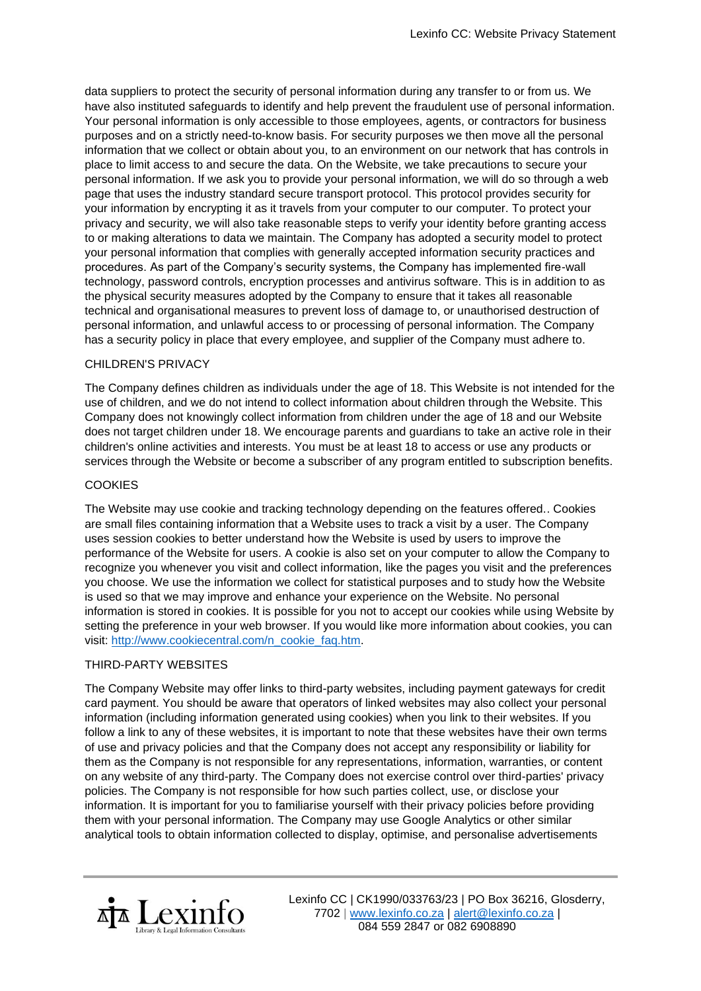data suppliers to protect the security of personal information during any transfer to or from us. We have also instituted safeguards to identify and help prevent the fraudulent use of personal information. Your personal information is only accessible to those employees, agents, or contractors for business purposes and on a strictly need-to-know basis. For security purposes we then move all the personal information that we collect or obtain about you, to an environment on our network that has controls in place to limit access to and secure the data. On the Website, we take precautions to secure your personal information. If we ask you to provide your personal information, we will do so through a web page that uses the industry standard secure transport protocol. This protocol provides security for your information by encrypting it as it travels from your computer to our computer. To protect your privacy and security, we will also take reasonable steps to verify your identity before granting access to or making alterations to data we maintain. The Company has adopted a security model to protect your personal information that complies with generally accepted information security practices and procedures. As part of the Company's security systems, the Company has implemented fire-wall technology, password controls, encryption processes and antivirus software. This is in addition to as the physical security measures adopted by the Company to ensure that it takes all reasonable technical and organisational measures to prevent loss of damage to, or unauthorised destruction of personal information, and unlawful access to or processing of personal information. The Company has a security policy in place that every employee, and supplier of the Company must adhere to.

#### CHILDREN'S PRIVACY

The Company defines children as individuals under the age of 18. This Website is not intended for the use of children, and we do not intend to collect information about children through the Website. This Company does not knowingly collect information from children under the age of 18 and our Website does not target children under 18. We encourage parents and guardians to take an active role in their children's online activities and interests. You must be at least 18 to access or use any products or services through the Website or become a subscriber of any program entitled to subscription benefits.

#### **COOKIES**

The Website may use cookie and tracking technology depending on the features offered.. Cookies are small files containing information that a Website uses to track a visit by a user. The Company uses session cookies to better understand how the Website is used by users to improve the performance of the Website for users. A cookie is also set on your computer to allow the Company to recognize you whenever you visit and collect information, like the pages you visit and the preferences you choose. We use the information we collect for statistical purposes and to study how the Website is used so that we may improve and enhance your experience on the Website. No personal information is stored in cookies. It is possible for you not to accept our cookies while using Website by setting the preference in your web browser. If you would like more information about cookies, you can visit: [http://www.cookiecentral.com/n\\_cookie\\_faq.htm.](http://www.cookiecentral.com/n_cookie_faq.htm)

#### THIRD-PARTY WEBSITES

The Company Website may offer links to third-party websites, including payment gateways for credit card payment. You should be aware that operators of linked websites may also collect your personal information (including information generated using cookies) when you link to their websites. If you follow a link to any of these websites, it is important to note that these websites have their own terms of use and privacy policies and that the Company does not accept any responsibility or liability for them as the Company is not responsible for any representations, information, warranties, or content on any website of any third-party. The Company does not exercise control over third-parties' privacy policies. The Company is not responsible for how such parties collect, use, or disclose your information. It is important for you to familiarise yourself with their privacy policies before providing them with your personal information. The Company may use Google Analytics or other similar analytical tools to obtain information collected to display, optimise, and personalise advertisements



 Lexinfo CC | CK1990/033763/23 | PO Box 36216, Glosderry, 7702 | [www.lexinfo.co.za](http://www.lexinfo.co.za/) | [alert@lexinfo.co.za](mailto:alert@lexinfo.co.za) | 084 559 2847 or 082 6908890